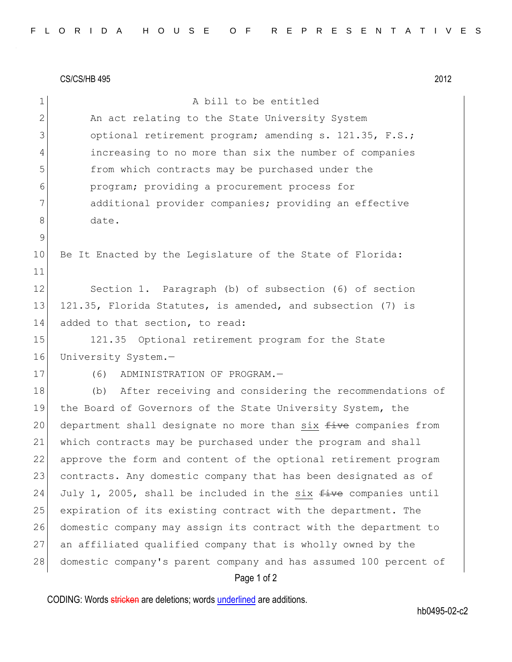CS/CS/HB 495 2012

| 1               | A bill to be entitled                                            |
|-----------------|------------------------------------------------------------------|
| $\mathbf{2}$    | An act relating to the State University System                   |
| 3               | optional retirement program; amending s. 121.35, F.S.;           |
| 4               | increasing to no more than six the number of companies           |
| 5               | from which contracts may be purchased under the                  |
| 6               | program; providing a procurement process for                     |
| 7               | additional provider companies; providing an effective            |
| 8               | date.                                                            |
| $\mathsf 9$     |                                                                  |
| 10 <sub>o</sub> | Be It Enacted by the Legislature of the State of Florida:        |
| 11              |                                                                  |
| 12              | Section 1. Paragraph (b) of subsection (6) of section            |
| 13              | 121.35, Florida Statutes, is amended, and subsection (7) is      |
| 14              | added to that section, to read:                                  |
| 15              | 121.35 Optional retirement program for the State                 |
| 16              | University System.-                                              |
| 17              | (6)<br>ADMINISTRATION OF PROGRAM.-                               |
| 18              | After receiving and considering the recommendations of<br>(b)    |
| 19              | the Board of Governors of the State University System, the       |
| 20              | department shall designate no more than six five companies from  |
| 21              | which contracts may be purchased under the program and shall     |
| 22              | approve the form and content of the optional retirement program  |
| 23              | contracts. Any domestic company that has been designated as of   |
| 24              | July 1, 2005, shall be included in the six five companies until  |
| 25              | expiration of its existing contract with the department. The     |
| 26              | domestic company may assign its contract with the department to  |
| 27              | an affiliated qualified company that is wholly owned by the      |
| 28              | domestic company's parent company and has assumed 100 percent of |
|                 | Page 1 of 2                                                      |

CODING: Words stricken are deletions; words underlined are additions.

hb0495-02-c2